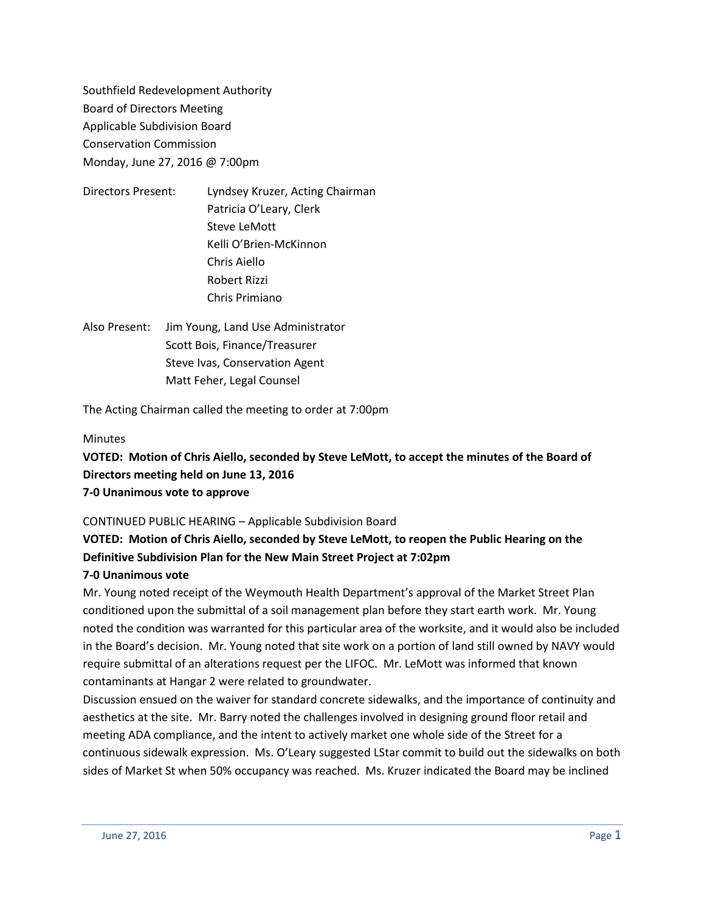Southfield Redevelopment Authority Board of Directors Meeting Applicable Subdivision Board Conservation Commission Monday, June 27, 2016 @ 7:00pm

- Directors Present: Lyndsey Kruzer, Acting Chairman Patricia O'Leary, Clerk Steve LeMott Kelli O'Brien-McKinnon Chris Aiello Robert Rizzi Chris Primiano
- Also Present: Jim Young, Land Use Administrator Scott Bois, Finance/Treasurer Steve Ivas, Conservation Agent Matt Feher, Legal Counsel

The Acting Chairman called the meeting to order at 7:00pm

# **Minutes**

**VOTED: Motion of Chris Aiello, seconded by Steve LeMott, to accept the minutes of the Board of Directors meeting held on June 13, 2016**

**7-0 Unanimous vote to approve**

CONTINUED PUBLIC HEARING – Applicable Subdivision Board

# **VOTED: Motion of Chris Aiello, seconded by Steve LeMott, to reopen the Public Hearing on the Definitive Subdivision Plan for the New Main Street Project at 7:02pm**

# **7-0 Unanimous vote**

Mr. Young noted receipt of the Weymouth Health Department's approval of the Market Street Plan conditioned upon the submittal of a soil management plan before they start earth work. Mr. Young noted the condition was warranted for this particular area of the worksite, and it would also be included in the Board's decision. Mr. Young noted that site work on a portion of land still owned by NAVY would require submittal of an alterations request per the LIFOC. Mr. LeMott was informed that known contaminants at Hangar 2 were related to groundwater.

Discussion ensued on the waiver for standard concrete sidewalks, and the importance of continuity and aesthetics at the site. Mr. Barry noted the challenges involved in designing ground floor retail and meeting ADA compliance, and the intent to actively market one whole side of the Street for a continuous sidewalk expression. Ms. O'Leary suggested LStar commit to build out the sidewalks on both sides of Market St when 50% occupancy was reached. Ms. Kruzer indicated the Board may be inclined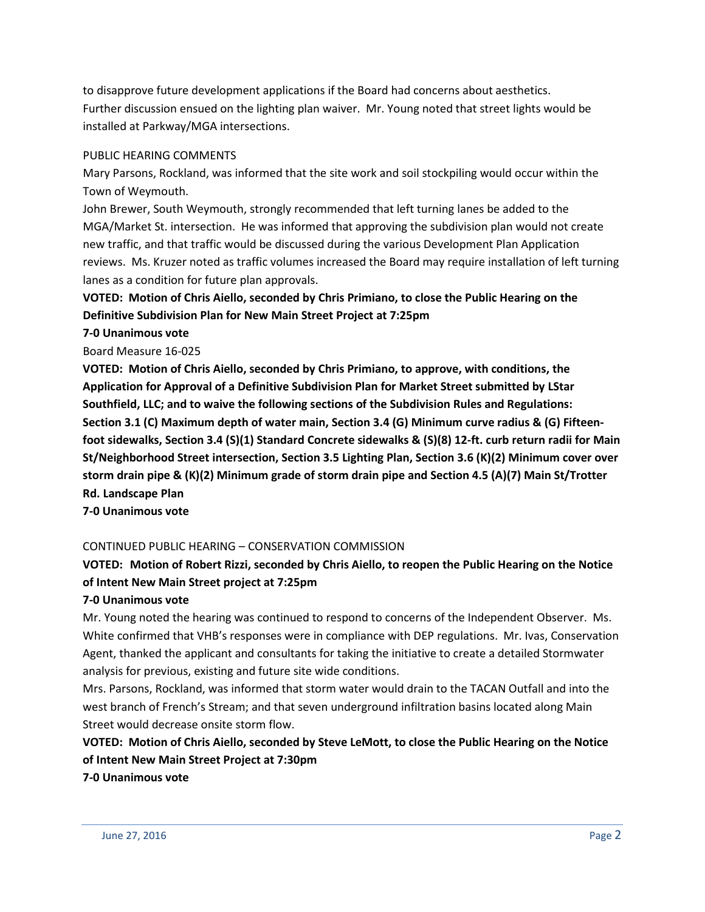to disapprove future development applications if the Board had concerns about aesthetics. Further discussion ensued on the lighting plan waiver. Mr. Young noted that street lights would be installed at Parkway/MGA intersections.

# PUBLIC HEARING COMMENTS

Mary Parsons, Rockland, was informed that the site work and soil stockpiling would occur within the Town of Weymouth.

John Brewer, South Weymouth, strongly recommended that left turning lanes be added to the MGA/Market St. intersection. He was informed that approving the subdivision plan would not create new traffic, and that traffic would be discussed during the various Development Plan Application reviews. Ms. Kruzer noted as traffic volumes increased the Board may require installation of left turning lanes as a condition for future plan approvals.

# **VOTED: Motion of Chris Aiello, seconded by Chris Primiano, to close the Public Hearing on the Definitive Subdivision Plan for New Main Street Project at 7:25pm**

# **7-0 Unanimous vote**

Board Measure 16-025

**VOTED: Motion of Chris Aiello, seconded by Chris Primiano, to approve, with conditions, the Application for Approval of a Definitive Subdivision Plan for Market Street submitted by LStar Southfield, LLC; and to waive the following sections of the Subdivision Rules and Regulations: Section 3.1 (C) Maximum depth of water main, Section 3.4 (G) Minimum curve radius & (G) Fifteenfoot sidewalks, Section 3.4 (S)(1) Standard Concrete sidewalks & (S)(8) 12-ft. curb return radii for Main St/Neighborhood Street intersection, Section 3.5 Lighting Plan, Section 3.6 (K)(2) Minimum cover over storm drain pipe & (K)(2) Minimum grade of storm drain pipe and Section 4.5 (A)(7) Main St/Trotter Rd. Landscape Plan**

**7-0 Unanimous vote**

# CONTINUED PUBLIC HEARING – CONSERVATION COMMISSION

# **VOTED: Motion of Robert Rizzi, seconded by Chris Aiello, to reopen the Public Hearing on the Notice of Intent New Main Street project at 7:25pm**

# **7-0 Unanimous vote**

Mr. Young noted the hearing was continued to respond to concerns of the Independent Observer. Ms. White confirmed that VHB's responses were in compliance with DEP regulations. Mr. Ivas, Conservation Agent, thanked the applicant and consultants for taking the initiative to create a detailed Stormwater analysis for previous, existing and future site wide conditions.

Mrs. Parsons, Rockland, was informed that storm water would drain to the TACAN Outfall and into the west branch of French's Stream; and that seven underground infiltration basins located along Main Street would decrease onsite storm flow.

**VOTED: Motion of Chris Aiello, seconded by Steve LeMott, to close the Public Hearing on the Notice of Intent New Main Street Project at 7:30pm**

# **7-0 Unanimous vote**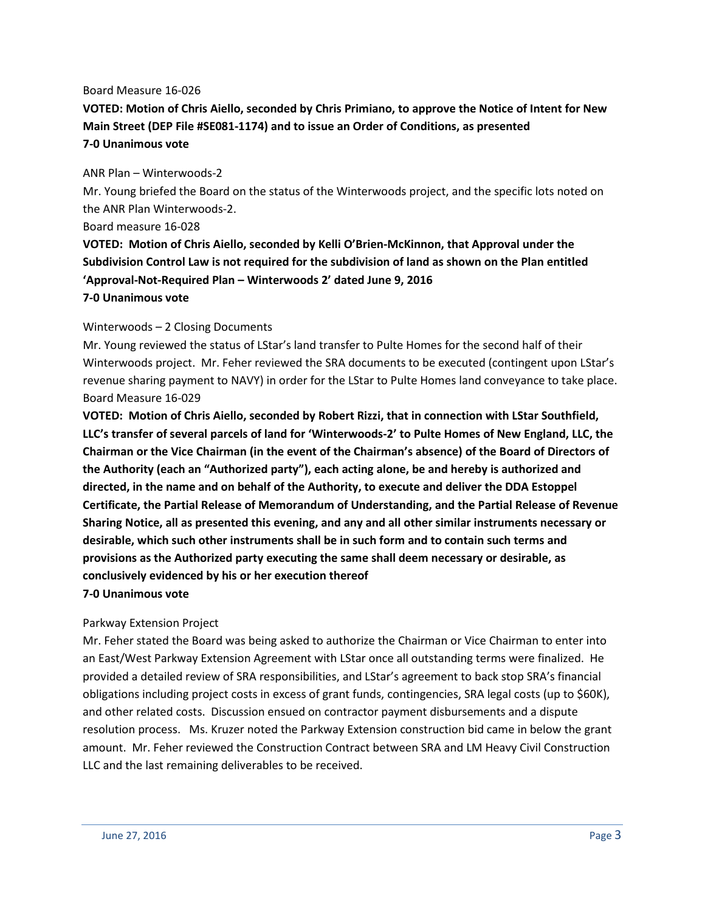#### Board Measure 16-026

**VOTED: Motion of Chris Aiello, seconded by Chris Primiano, to approve the Notice of Intent for New Main Street (DEP File #SE081-1174) and to issue an Order of Conditions, as presented 7-0 Unanimous vote**

#### ANR Plan – Winterwoods-2

Mr. Young briefed the Board on the status of the Winterwoods project, and the specific lots noted on the ANR Plan Winterwoods-2.

#### Board measure 16-028

**VOTED: Motion of Chris Aiello, seconded by Kelli O'Brien-McKinnon, that Approval under the Subdivision Control Law is not required for the subdivision of land as shown on the Plan entitled 'Approval-Not-Required Plan – Winterwoods 2' dated June 9, 2016**

#### **7-0 Unanimous vote**

# Winterwoods – 2 Closing Documents

Mr. Young reviewed the status of LStar's land transfer to Pulte Homes for the second half of their Winterwoods project. Mr. Feher reviewed the SRA documents to be executed (contingent upon LStar's revenue sharing payment to NAVY) in order for the LStar to Pulte Homes land conveyance to take place. Board Measure 16-029

**VOTED: Motion of Chris Aiello, seconded by Robert Rizzi, that in connection with LStar Southfield, LLC's transfer of several parcels of land for 'Winterwoods-2' to Pulte Homes of New England, LLC, the Chairman or the Vice Chairman (in the event of the Chairman's absence) of the Board of Directors of the Authority (each an "Authorized party"), each acting alone, be and hereby is authorized and directed, in the name and on behalf of the Authority, to execute and deliver the DDA Estoppel Certificate, the Partial Release of Memorandum of Understanding, and the Partial Release of Revenue Sharing Notice, all as presented this evening, and any and all other similar instruments necessary or desirable, which such other instruments shall be in such form and to contain such terms and provisions as the Authorized party executing the same shall deem necessary or desirable, as conclusively evidenced by his or her execution thereof**

# **7-0 Unanimous vote**

# Parkway Extension Project

Mr. Feher stated the Board was being asked to authorize the Chairman or Vice Chairman to enter into an East/West Parkway Extension Agreement with LStar once all outstanding terms were finalized. He provided a detailed review of SRA responsibilities, and LStar's agreement to back stop SRA's financial obligations including project costs in excess of grant funds, contingencies, SRA legal costs (up to \$60K), and other related costs. Discussion ensued on contractor payment disbursements and a dispute resolution process. Ms. Kruzer noted the Parkway Extension construction bid came in below the grant amount. Mr. Feher reviewed the Construction Contract between SRA and LM Heavy Civil Construction LLC and the last remaining deliverables to be received.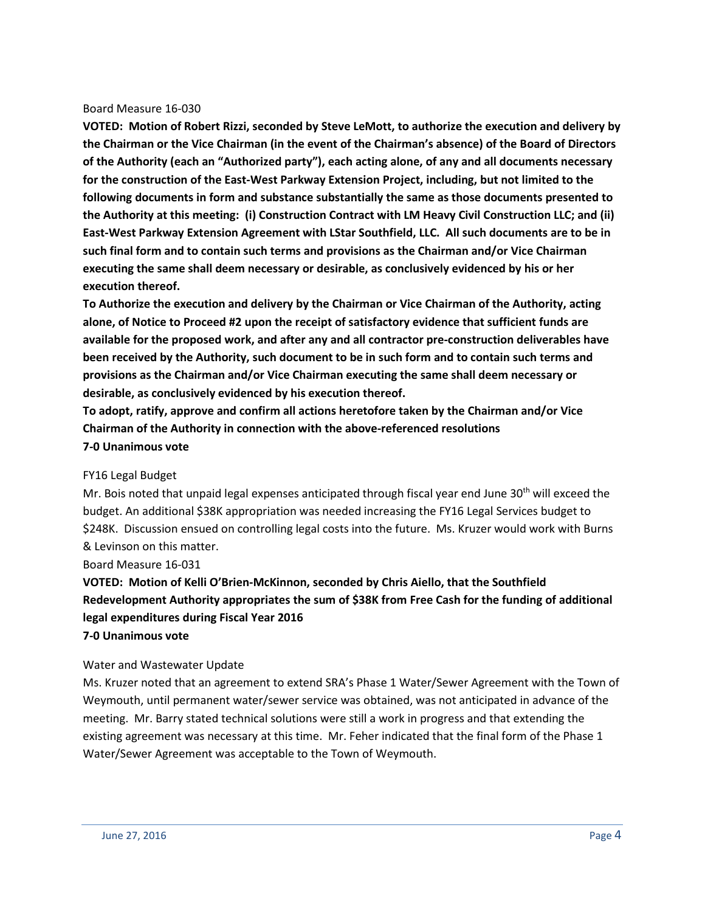#### Board Measure 16-030

**VOTED: Motion of Robert Rizzi, seconded by Steve LeMott, to authorize the execution and delivery by the Chairman or the Vice Chairman (in the event of the Chairman's absence) of the Board of Directors of the Authority (each an "Authorized party"), each acting alone, of any and all documents necessary for the construction of the East-West Parkway Extension Project, including, but not limited to the following documents in form and substance substantially the same as those documents presented to the Authority at this meeting: (i) Construction Contract with LM Heavy Civil Construction LLC; and (ii) East-West Parkway Extension Agreement with LStar Southfield, LLC. All such documents are to be in such final form and to contain such terms and provisions as the Chairman and/or Vice Chairman executing the same shall deem necessary or desirable, as conclusively evidenced by his or her execution thereof.** 

**To Authorize the execution and delivery by the Chairman or Vice Chairman of the Authority, acting alone, of Notice to Proceed #2 upon the receipt of satisfactory evidence that sufficient funds are available for the proposed work, and after any and all contractor pre-construction deliverables have been received by the Authority, such document to be in such form and to contain such terms and provisions as the Chairman and/or Vice Chairman executing the same shall deem necessary or desirable, as conclusively evidenced by his execution thereof.**

**To adopt, ratify, approve and confirm all actions heretofore taken by the Chairman and/or Vice Chairman of the Authority in connection with the above-referenced resolutions 7-0 Unanimous vote**

#### FY16 Legal Budget

Mr. Bois noted that unpaid legal expenses anticipated through fiscal year end June 30<sup>th</sup> will exceed the budget. An additional \$38K appropriation was needed increasing the FY16 Legal Services budget to \$248K. Discussion ensued on controlling legal costs into the future. Ms. Kruzer would work with Burns & Levinson on this matter.

#### Board Measure 16-031

**VOTED: Motion of Kelli O'Brien-McKinnon, seconded by Chris Aiello, that the Southfield Redevelopment Authority appropriates the sum of \$38K from Free Cash for the funding of additional legal expenditures during Fiscal Year 2016**

# **7-0 Unanimous vote**

# Water and Wastewater Update

Ms. Kruzer noted that an agreement to extend SRA's Phase 1 Water/Sewer Agreement with the Town of Weymouth, until permanent water/sewer service was obtained, was not anticipated in advance of the meeting. Mr. Barry stated technical solutions were still a work in progress and that extending the existing agreement was necessary at this time. Mr. Feher indicated that the final form of the Phase 1 Water/Sewer Agreement was acceptable to the Town of Weymouth.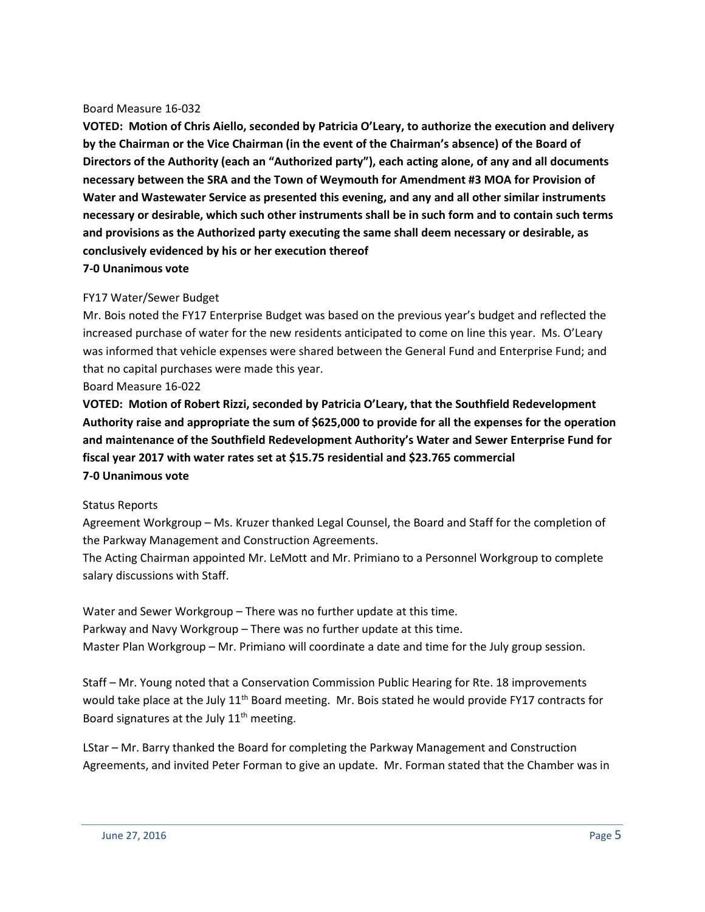#### Board Measure 16-032

**VOTED: Motion of Chris Aiello, seconded by Patricia O'Leary, to authorize the execution and delivery by the Chairman or the Vice Chairman (in the event of the Chairman's absence) of the Board of Directors of the Authority (each an "Authorized party"), each acting alone, of any and all documents necessary between the SRA and the Town of Weymouth for Amendment #3 MOA for Provision of Water and Wastewater Service as presented this evening, and any and all other similar instruments necessary or desirable, which such other instruments shall be in such form and to contain such terms and provisions as the Authorized party executing the same shall deem necessary or desirable, as conclusively evidenced by his or her execution thereof**

# **7-0 Unanimous vote**

# FY17 Water/Sewer Budget

Mr. Bois noted the FY17 Enterprise Budget was based on the previous year's budget and reflected the increased purchase of water for the new residents anticipated to come on line this year. Ms. O'Leary was informed that vehicle expenses were shared between the General Fund and Enterprise Fund; and that no capital purchases were made this year.

Board Measure 16-022

**VOTED: Motion of Robert Rizzi, seconded by Patricia O'Leary, that the Southfield Redevelopment Authority raise and appropriate the sum of \$625,000 to provide for all the expenses for the operation and maintenance of the Southfield Redevelopment Authority's Water and Sewer Enterprise Fund for fiscal year 2017 with water rates set at \$15.75 residential and \$23.765 commercial 7-0 Unanimous vote**

# Status Reports

Agreement Workgroup – Ms. Kruzer thanked Legal Counsel, the Board and Staff for the completion of the Parkway Management and Construction Agreements.

The Acting Chairman appointed Mr. LeMott and Mr. Primiano to a Personnel Workgroup to complete salary discussions with Staff.

Water and Sewer Workgroup – There was no further update at this time. Parkway and Navy Workgroup – There was no further update at this time. Master Plan Workgroup – Mr. Primiano will coordinate a date and time for the July group session.

Staff – Mr. Young noted that a Conservation Commission Public Hearing for Rte. 18 improvements would take place at the July  $11<sup>th</sup>$  Board meeting. Mr. Bois stated he would provide FY17 contracts for Board signatures at the July  $11<sup>th</sup>$  meeting.

LStar – Mr. Barry thanked the Board for completing the Parkway Management and Construction Agreements, and invited Peter Forman to give an update. Mr. Forman stated that the Chamber was in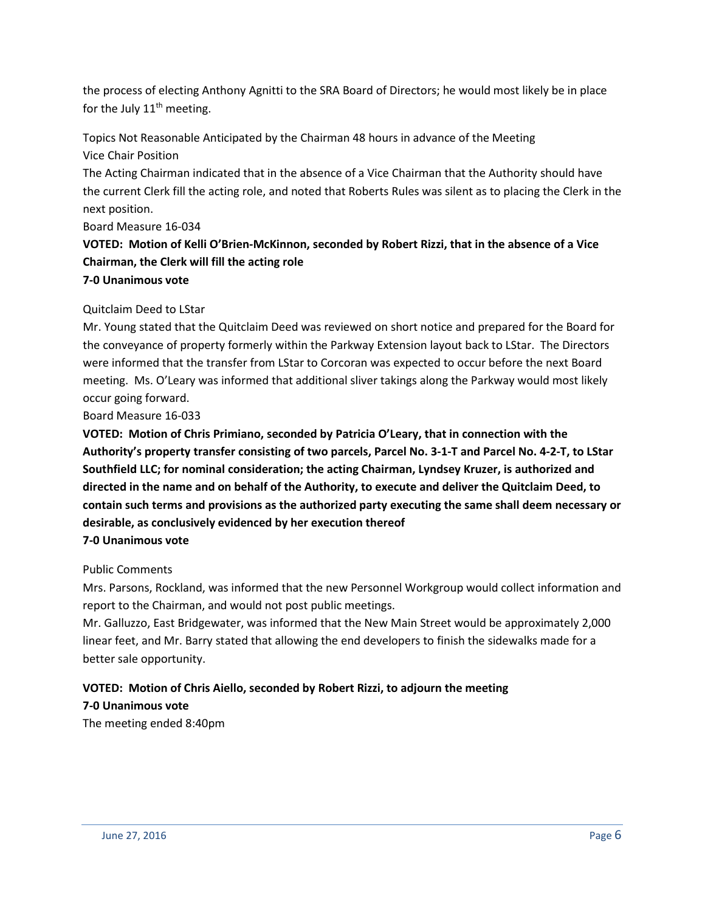the process of electing Anthony Agnitti to the SRA Board of Directors; he would most likely be in place for the July  $11<sup>th</sup>$  meeting.

Topics Not Reasonable Anticipated by the Chairman 48 hours in advance of the Meeting

Vice Chair Position

The Acting Chairman indicated that in the absence of a Vice Chairman that the Authority should have the current Clerk fill the acting role, and noted that Roberts Rules was silent as to placing the Clerk in the next position.

Board Measure 16-034

# **VOTED: Motion of Kelli O'Brien-McKinnon, seconded by Robert Rizzi, that in the absence of a Vice Chairman, the Clerk will fill the acting role**

# **7-0 Unanimous vote**

# Quitclaim Deed to LStar

Mr. Young stated that the Quitclaim Deed was reviewed on short notice and prepared for the Board for the conveyance of property formerly within the Parkway Extension layout back to LStar. The Directors were informed that the transfer from LStar to Corcoran was expected to occur before the next Board meeting. Ms. O'Leary was informed that additional sliver takings along the Parkway would most likely occur going forward.

Board Measure 16-033

**VOTED: Motion of Chris Primiano, seconded by Patricia O'Leary, that in connection with the Authority's property transfer consisting of two parcels, Parcel No. 3-1-T and Parcel No. 4-2-T, to LStar Southfield LLC; for nominal consideration; the acting Chairman, Lyndsey Kruzer, is authorized and directed in the name and on behalf of the Authority, to execute and deliver the Quitclaim Deed, to contain such terms and provisions as the authorized party executing the same shall deem necessary or desirable, as conclusively evidenced by her execution thereof**

# **7-0 Unanimous vote**

# Public Comments

Mrs. Parsons, Rockland, was informed that the new Personnel Workgroup would collect information and report to the Chairman, and would not post public meetings.

Mr. Galluzzo, East Bridgewater, was informed that the New Main Street would be approximately 2,000 linear feet, and Mr. Barry stated that allowing the end developers to finish the sidewalks made for a better sale opportunity.

# **VOTED: Motion of Chris Aiello, seconded by Robert Rizzi, to adjourn the meeting 7-0 Unanimous vote**

The meeting ended 8:40pm